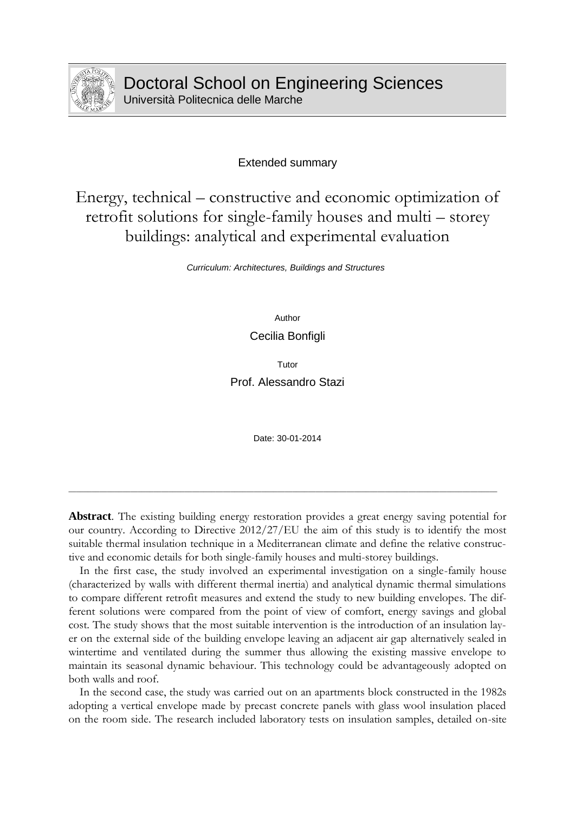

Extended summary

Energy, technical – constructive and economic optimization of retrofit solutions for single-family houses and multi – storey buildings: analytical and experimental evaluation

*Curriculum: Architectures, Buildings and Structures*

Author

Cecilia Bonfigli

Tutor

Prof. Alessandro Stazi

Date: 30-01-2014

**Abstract**. The existing building energy restoration provides a great energy saving potential for our country. According to Directive 2012/27/EU the aim of this study is to identify the most suitable thermal insulation technique in a Mediterranean climate and define the relative constructive and economic details for both single-family houses and multi-storey buildings.

\_\_\_\_\_\_\_\_\_\_\_\_\_\_\_\_\_\_\_\_\_\_\_\_\_\_\_\_\_\_\_\_\_\_\_\_\_\_\_\_\_\_\_\_\_\_\_\_\_\_\_\_\_\_\_\_\_\_\_\_\_\_\_\_\_\_\_\_\_\_\_\_\_\_\_\_\_\_\_\_\_\_\_\_\_\_\_\_\_\_\_\_\_\_\_\_\_\_\_\_\_\_\_\_\_\_\_\_\_\_\_

In the first case, the study involved an experimental investigation on a single-family house (characterized by walls with different thermal inertia) and analytical dynamic thermal simulations to compare different retrofit measures and extend the study to new building envelopes. The different solutions were compared from the point of view of comfort, energy savings and global cost. The study shows that the most suitable intervention is the introduction of an insulation layer on the external side of the building envelope leaving an adjacent air gap alternatively sealed in wintertime and ventilated during the summer thus allowing the existing massive envelope to maintain its seasonal dynamic behaviour. This technology could be advantageously adopted on both walls and roof.

In the second case, the study was carried out on an apartments block constructed in the 1982s adopting a vertical envelope made by precast concrete panels with glass wool insulation placed on the room side. The research included laboratory tests on insulation samples, detailed on-site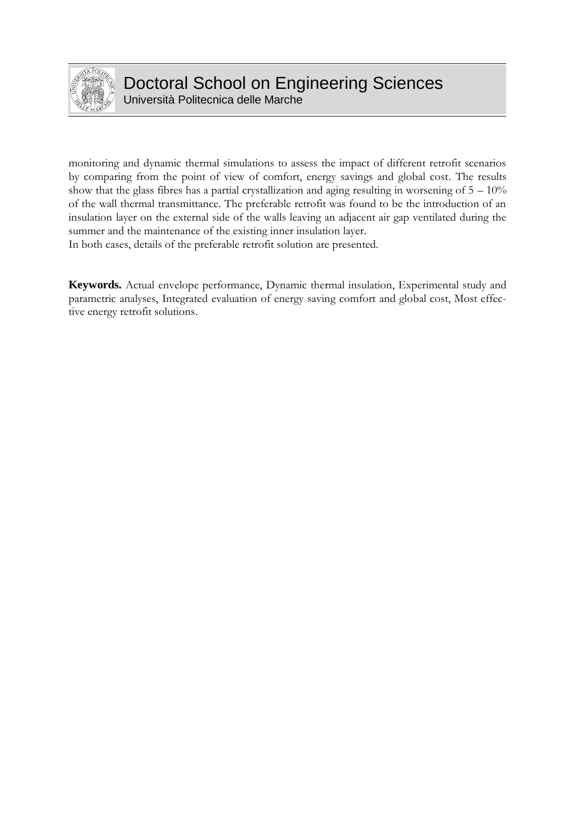

Università Politecnica delle Marche

monitoring and dynamic thermal simulations to assess the impact of different retrofit scenarios by comparing from the point of view of comfort, energy savings and global cost. The results show that the glass fibres has a partial crystallization and aging resulting in worsening of  $5 - 10\%$ of the wall thermal transmittance. The preferable retrofit was found to be the introduction of an insulation layer on the external side of the walls leaving an adjacent air gap ventilated during the summer and the maintenance of the existing inner insulation layer.

In both cases, details of the preferable retrofit solution are presented.

**Keywords.** Actual envelope performance, Dynamic thermal insulation, Experimental study and parametric analyses, Integrated evaluation of energy saving comfort and global cost, Most effective energy retrofit solutions.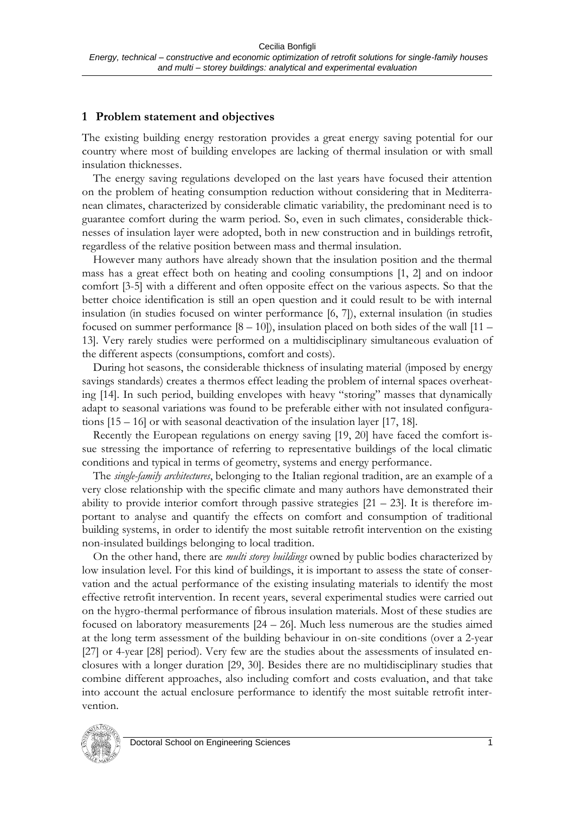#### **1 Problem statement and objectives**

The existing building energy restoration provides a great energy saving potential for our country where most of building envelopes are lacking of thermal insulation or with small insulation thicknesses.

The energy saving regulations developed on the last years have focused their attention on the problem of heating consumption reduction without considering that in Mediterranean climates, characterized by considerable climatic variability, the predominant need is to guarantee comfort during the warm period. So, even in such climates, considerable thicknesses of insulation layer were adopted, both in new construction and in buildings retrofit, regardless of the relative position between mass and thermal insulation.

However many authors have already shown that the insulation position and the thermal mass has a great effect both on heating and cooling consumptions [1, 2] and on indoor comfort [3-5] with a different and often opposite effect on the various aspects. So that the better choice identification is still an open question and it could result to be with internal insulation (in studies focused on winter performance [6, 7]), external insulation (in studies focused on summer performance  $[8 - 10]$ ), insulation placed on both sides of the wall  $[11 -$ 13]. Very rarely studies were performed on a multidisciplinary simultaneous evaluation of the different aspects (consumptions, comfort and costs).

During hot seasons, the considerable thickness of insulating material (imposed by energy savings standards) creates a thermos effect leading the problem of internal spaces overheating [14]. In such period, building envelopes with heavy "storing" masses that dynamically adapt to seasonal variations was found to be preferable either with not insulated configurations [15 – 16] or with seasonal deactivation of the insulation layer [17, 18].

Recently the European regulations on energy saving [19, 20] have faced the comfort issue stressing the importance of referring to representative buildings of the local climatic conditions and typical in terms of geometry, systems and energy performance.

The *single-family architectures*, belonging to the Italian regional tradition, are an example of a very close relationship with the specific climate and many authors have demonstrated their ability to provide interior comfort through passive strategies  $[21 - 23]$ . It is therefore important to analyse and quantify the effects on comfort and consumption of traditional building systems, in order to identify the most suitable retrofit intervention on the existing non-insulated buildings belonging to local tradition.

On the other hand, there are *multi storey buildings* owned by public bodies characterized by low insulation level. For this kind of buildings, it is important to assess the state of conservation and the actual performance of the existing insulating materials to identify the most effective retrofit intervention. In recent years, several experimental studies were carried out on the hygro-thermal performance of fibrous insulation materials. Most of these studies are focused on laboratory measurements [24 – 26]. Much less numerous are the studies aimed at the long term assessment of the building behaviour in on-site conditions (over a 2-year [27] or 4-year [28] period). Very few are the studies about the assessments of insulated enclosures with a longer duration [29, 30]. Besides there are no multidisciplinary studies that combine different approaches, also including comfort and costs evaluation, and that take into account the actual enclosure performance to identify the most suitable retrofit intervention.

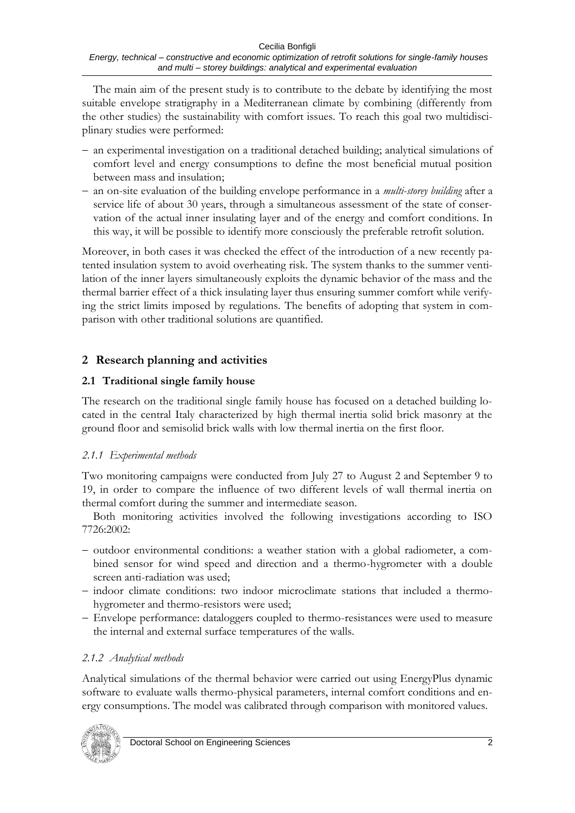The main aim of the present study is to contribute to the debate by identifying the most suitable envelope stratigraphy in a Mediterranean climate by combining (differently from the other studies) the sustainability with comfort issues. To reach this goal two multidisciplinary studies were performed:

- an experimental investigation on a traditional detached building; analytical simulations of comfort level and energy consumptions to define the most beneficial mutual position between mass and insulation;
- an on-site evaluation of the building envelope performance in a *multi-storey building* after a service life of about 30 years, through a simultaneous assessment of the state of conservation of the actual inner insulating layer and of the energy and comfort conditions. In this way, it will be possible to identify more consciously the preferable retrofit solution.

Moreover, in both cases it was checked the effect of the introduction of a new recently patented insulation system to avoid overheating risk. The system thanks to the summer ventilation of the inner layers simultaneously exploits the dynamic behavior of the mass and the thermal barrier effect of a thick insulating layer thus ensuring summer comfort while verifying the strict limits imposed by regulations. The benefits of adopting that system in comparison with other traditional solutions are quantified.

## **2 Research planning and activities**

### **2.1 Traditional single family house**

The research on the traditional single family house has focused on a detached building located in the central Italy characterized by high thermal inertia solid brick masonry at the ground floor and semisolid brick walls with low thermal inertia on the first floor.

#### *2.1.1 Experimental methods*

Two monitoring campaigns were conducted from July 27 to August 2 and September 9 to 19, in order to compare the influence of two different levels of wall thermal inertia on thermal comfort during the summer and intermediate season.

Both monitoring activities involved the following investigations according to ISO 7726:2002:

- outdoor environmental conditions: a weather station with a global radiometer, a combined sensor for wind speed and direction and a thermo-hygrometer with a double screen anti-radiation was used;
- indoor climate conditions: two indoor microclimate stations that included a thermohygrometer and thermo-resistors were used;
- Envelope performance: dataloggers coupled to thermo-resistances were used to measure the internal and external surface temperatures of the walls.

### *2.1.2 Analytical methods*

Analytical simulations of the thermal behavior were carried out using EnergyPlus dynamic software to evaluate walls thermo-physical parameters, internal comfort conditions and energy consumptions. The model was calibrated through comparison with monitored values.

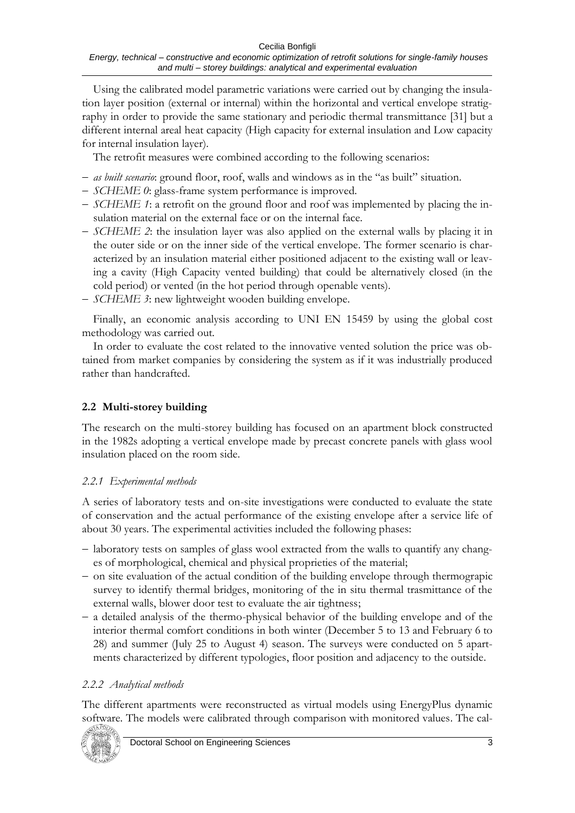Using the calibrated model parametric variations were carried out by changing the insulation layer position (external or internal) within the horizontal and vertical envelope stratigraphy in order to provide the same stationary and periodic thermal transmittance [31] but a different internal areal heat capacity (High capacity for external insulation and Low capacity for internal insulation layer).

The retrofit measures were combined according to the following scenarios:

- *as built scenario*: ground floor, roof, walls and windows as in the "as built" situation.
- *SCHEME 0*: glass-frame system performance is improved.
- *SCHEME 1*: a retrofit on the ground floor and roof was implemented by placing the insulation material on the external face or on the internal face.
- *SCHEME 2*: the insulation layer was also applied on the external walls by placing it in the outer side or on the inner side of the vertical envelope. The former scenario is characterized by an insulation material either positioned adjacent to the existing wall or leaving a cavity (High Capacity vented building) that could be alternatively closed (in the cold period) or vented (in the hot period through openable vents).
- *SCHEME 3*: new lightweight wooden building envelope.

Finally, an economic analysis according to UNI EN 15459 by using the global cost methodology was carried out.

In order to evaluate the cost related to the innovative vented solution the price was obtained from market companies by considering the system as if it was industrially produced rather than handcrafted.

### **2.2 Multi-storey building**

The research on the multi-storey building has focused on an apartment block constructed in the 1982s adopting a vertical envelope made by precast concrete panels with glass wool insulation placed on the room side.

#### *2.2.1 Experimental methods*

A series of laboratory tests and on-site investigations were conducted to evaluate the state of conservation and the actual performance of the existing envelope after a service life of about 30 years. The experimental activities included the following phases:

- laboratory tests on samples of glass wool extracted from the walls to quantify any changes of morphological, chemical and physical proprieties of the material;
- $\sim$  on site evaluation of the actual condition of the building envelope through thermograpic survey to identify thermal bridges, monitoring of the in situ thermal trasmittance of the external walls, blower door test to evaluate the air tightness;
- a detailed analysis of the thermo-physical behavior of the building envelope and of the interior thermal comfort conditions in both winter (December 5 to 13 and February 6 to 28) and summer (July 25 to August 4) season. The surveys were conducted on 5 apartments characterized by different typologies, floor position and adjacency to the outside.

#### *2.2.2 Analytical methods*

The different apartments were reconstructed as virtual models using EnergyPlus dynamic software. The models were calibrated through comparison with monitored values. The cal-

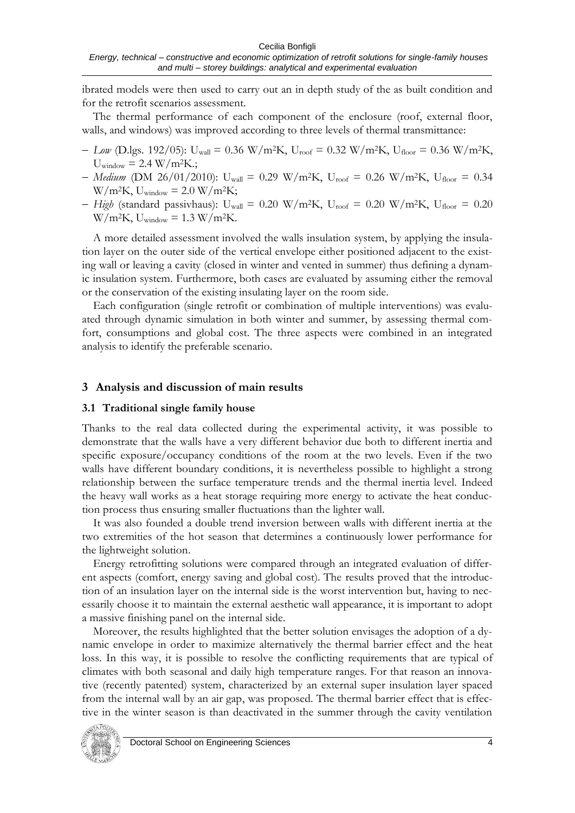ibrated models were then used to carry out an in depth study of the as built condition and for the retrofit scenarios assessment.

The thermal performance of each component of the enclosure (roof, external floor, walls, and windows) was improved according to three levels of thermal transmittance:

- *Low* (D.lgs. 192/05): U<sub>wall</sub> = 0.36 W/m<sup>2</sup>K, U<sub>roof</sub> = 0.32 W/m<sup>2</sup>K, U<sub>floor</sub> = 0.36 W/m<sup>2</sup>K,  $U_{window} = 2.4 W/m<sup>2</sup>K$ .;
- *Medium* (DM 26/01/2010): U<sub>wall</sub> = 0.29 W/m<sup>2</sup>K, U<sub>roof</sub> = 0.26 W/m<sup>2</sup>K, U<sub>floor</sub> = 0.34  $W/m^2K$ , Uwindow = 2.0 W/m<sup>2</sup>K;
- *High* (standard passivhaus):  $U_{wall} = 0.20$  W/m<sup>2</sup>K,  $U_{root} = 0.20$  W/m<sup>2</sup>K,  $U_{floor} = 0.20$  $W/m^2K$ , Uwindow = 1.3 W/m<sup>2</sup>K.

A more detailed assessment involved the walls insulation system, by applying the insulation layer on the outer side of the vertical envelope either positioned adjacent to the existing wall or leaving a cavity (closed in winter and vented in summer) thus defining a dynamic insulation system. Furthermore, both cases are evaluated by assuming either the removal or the conservation of the existing insulating layer on the room side.

Each configuration (single retrofit or combination of multiple interventions) was evaluated through dynamic simulation in both winter and summer, by assessing thermal comfort, consumptions and global cost. The three aspects were combined in an integrated analysis to identify the preferable scenario.

#### **3 Analysis and discussion of main results**

#### **3.1 Traditional single family house**

Thanks to the real data collected during the experimental activity, it was possible to demonstrate that the walls have a very different behavior due both to different inertia and specific exposure/occupancy conditions of the room at the two levels. Even if the two walls have different boundary conditions, it is nevertheless possible to highlight a strong relationship between the surface temperature trends and the thermal inertia level. Indeed the heavy wall works as a heat storage requiring more energy to activate the heat conduction process thus ensuring smaller fluctuations than the lighter wall.

It was also founded a double trend inversion between walls with different inertia at the two extremities of the hot season that determines a continuously lower performance for the lightweight solution.

Energy retrofitting solutions were compared through an integrated evaluation of different aspects (comfort, energy saving and global cost). The results proved that the introduction of an insulation layer on the internal side is the worst intervention but, having to necessarily choose it to maintain the external aesthetic wall appearance, it is important to adopt a massive finishing panel on the internal side.

Moreover, the results highlighted that the better solution envisages the adoption of a dynamic envelope in order to maximize alternatively the thermal barrier effect and the heat loss. In this way, it is possible to resolve the conflicting requirements that are typical of climates with both seasonal and daily high temperature ranges. For that reason an innovative (recently patented) system, characterized by an external super insulation layer spaced from the internal wall by an air gap, was proposed. The thermal barrier effect that is effective in the winter season is than deactivated in the summer through the cavity ventilation

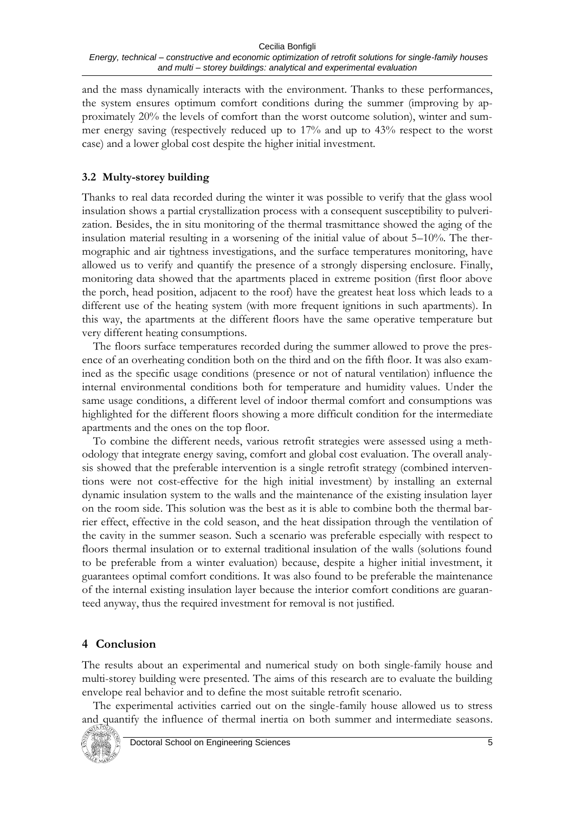and the mass dynamically interacts with the environment. Thanks to these performances, the system ensures optimum comfort conditions during the summer (improving by approximately 20% the levels of comfort than the worst outcome solution), winter and summer energy saving (respectively reduced up to 17% and up to 43% respect to the worst case) and a lower global cost despite the higher initial investment.

### **3.2 Multy-storey building**

Thanks to real data recorded during the winter it was possible to verify that the glass wool insulation shows a partial crystallization process with a consequent susceptibility to pulverization. Besides, the in situ monitoring of the thermal trasmittance showed the aging of the insulation material resulting in a worsening of the initial value of about 5–10%. The thermographic and air tightness investigations, and the surface temperatures monitoring, have allowed us to verify and quantify the presence of a strongly dispersing enclosure. Finally, monitoring data showed that the apartments placed in extreme position (first floor above the porch, head position, adjacent to the roof) have the greatest heat loss which leads to a different use of the heating system (with more frequent ignitions in such apartments). In this way, the apartments at the different floors have the same operative temperature but very different heating consumptions.

The floors surface temperatures recorded during the summer allowed to prove the presence of an overheating condition both on the third and on the fifth floor. It was also examined as the specific usage conditions (presence or not of natural ventilation) influence the internal environmental conditions both for temperature and humidity values. Under the same usage conditions, a different level of indoor thermal comfort and consumptions was highlighted for the different floors showing a more difficult condition for the intermediate apartments and the ones on the top floor.

To combine the different needs, various retrofit strategies were assessed using a methodology that integrate energy saving, comfort and global cost evaluation. The overall analysis showed that the preferable intervention is a single retrofit strategy (combined interventions were not cost-effective for the high initial investment) by installing an external dynamic insulation system to the walls and the maintenance of the existing insulation layer on the room side. This solution was the best as it is able to combine both the thermal barrier effect, effective in the cold season, and the heat dissipation through the ventilation of the cavity in the summer season. Such a scenario was preferable especially with respect to floors thermal insulation or to external traditional insulation of the walls (solutions found to be preferable from a winter evaluation) because, despite a higher initial investment, it guarantees optimal comfort conditions. It was also found to be preferable the maintenance of the internal existing insulation layer because the interior comfort conditions are guaranteed anyway, thus the required investment for removal is not justified.

# **4 Conclusion**

The results about an experimental and numerical study on both single-family house and multi-storey building were presented. The aims of this research are to evaluate the building envelope real behavior and to define the most suitable retrofit scenario.

The experimental activities carried out on the single-family house allowed us to stress and quantify the influence of thermal inertia on both summer and intermediate seasons.

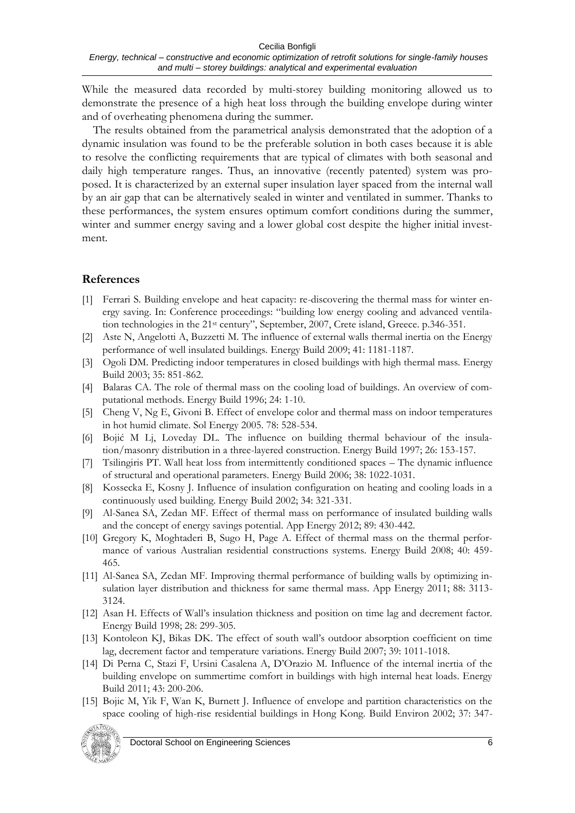While the measured data recorded by multi-storey building monitoring allowed us to demonstrate the presence of a high heat loss through the building envelope during winter and of overheating phenomena during the summer.

The results obtained from the parametrical analysis demonstrated that the adoption of a dynamic insulation was found to be the preferable solution in both cases because it is able to resolve the conflicting requirements that are typical of climates with both seasonal and daily high temperature ranges. Thus, an innovative (recently patented) system was proposed. It is characterized by an external super insulation layer spaced from the internal wall by an air gap that can be alternatively sealed in winter and ventilated in summer. Thanks to these performances, the system ensures optimum comfort conditions during the summer, winter and summer energy saving and a lower global cost despite the higher initial investment.

### **References**

- [1] Ferrari S. Building envelope and heat capacity: re-discovering the thermal mass for winter energy saving. In: Conference proceedings: "building low energy cooling and advanced ventilation technologies in the 21<sup>st</sup> century", September, 2007, Crete island, Greece. p.346-351.
- [2] Aste N, Angelotti A, Buzzetti M. The influence of external walls thermal inertia on the Energy performance of well insulated buildings. Energy Build 2009; 41: 1181-1187.
- [3] Ogoli DM. Predicting indoor temperatures in closed buildings with high thermal mass. Energy Build 2003; 35: 851-862.
- [4] Balaras CA. The role of thermal mass on the cooling load of buildings. An overview of computational methods. Energy Build 1996; 24: 1-10.
- [5] Cheng V, Ng E, Givoni B. Effect of envelope color and thermal mass on indoor temperatures in hot humid climate. Sol Energy 2005. 78: 528-534.
- [6] Bojić M Lj, Loveday DL. The influence on building thermal behaviour of the insulation/masonry distribution in a three-layered construction. Energy Build 1997; 26: 153-157.
- [7] Tsilingiris PT. Wall heat loss from intermittently conditioned spaces The dynamic influence of structural and operational parameters. Energy Build 2006; 38: 1022-1031.
- [8] Kossecka E, Kosny J. Influence of insulation configuration on heating and cooling loads in a continuously used building. Energy Build 2002; 34: 321-331.
- [9] Al-Sanea SA, Zedan MF. Effect of thermal mass on performance of insulated building walls and the concept of energy savings potential. App Energy 2012; 89: 430-442.
- [10] Gregory K, Moghtaderi B, Sugo H, Page A. Effect of thermal mass on the thermal performance of various Australian residential constructions systems. Energy Build 2008; 40: 459- 465.
- [11] Al-Sanea SA, Zedan MF. Improving thermal performance of building walls by optimizing insulation layer distribution and thickness for same thermal mass. App Energy 2011; 88: 3113- 3124.
- [12] Asan H. Effects of Wall's insulation thickness and position on time lag and decrement factor. Energy Build 1998; 28: 299-305.
- [13] Kontoleon KJ, Bikas DK. The effect of south wall's outdoor absorption coefficient on time lag, decrement factor and temperature variations. Energy Build 2007; 39: 1011-1018.
- [14] Di Perna C, Stazi F, Ursini Casalena A, D'Orazio M. Influence of the internal inertia of the building envelope on summertime comfort in buildings with high internal heat loads. Energy Build 2011; 43: 200-206.
- [15] Bojic M, Yik F, Wan K, Burnett J. Influence of envelope and partition characteristics on the space cooling of high-rise residential buildings in Hong Kong. Build Environ 2002; 37: 347-



Doctoral School on Engineering Sciences 6